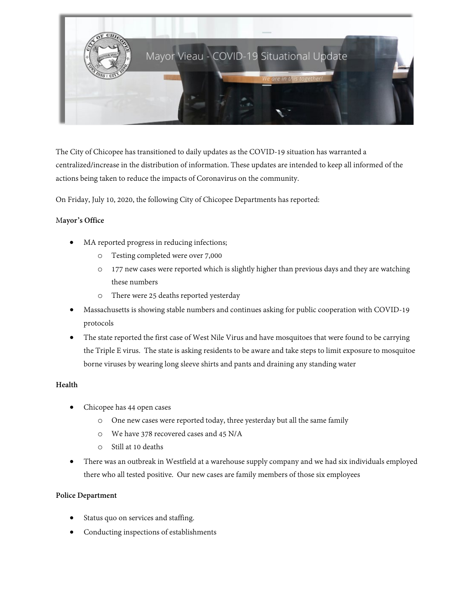

The City of Chicopee has transitioned to daily updates as the COVID-19 situation has warranted a centralized/increase in the distribution of information. These updates are intended to keep all informed of the actions being taken to reduce the impacts of Coronavirus on the community.

On Friday, July 10, 2020, the following City of Chicopee Departments has reported:

## M**ayor's Office**

- MA reported progress in reducing infections;
	- o Testing completed were over 7,000
	- o 177 new cases were reported which is slightly higher than previous days and they are watching these numbers
	- o There were 25 deaths reported yesterday
- Massachusetts is showing stable numbers and continues asking for public cooperation with COVID-19 protocols
- The state reported the first case of West Nile Virus and have mosquitoes that were found to be carrying the Triple E virus. The state is asking residents to be aware and take steps to limit exposure to mosquitoe borne viruses by wearing long sleeve shirts and pants and draining any standing water

# **Health**

- Chicopee has 44 open cases
	- o One new cases were reported today, three yesterday but all the same family
	- o We have 378 recovered cases and 45 N/A
	- o Still at 10 deaths
- There was an outbreak in Westfield at a warehouse supply company and we had six individuals employed there who all tested positive. Our new cases are family members of those six employees

### **Police Department**

- Status quo on services and staffing.
- Conducting inspections of establishments